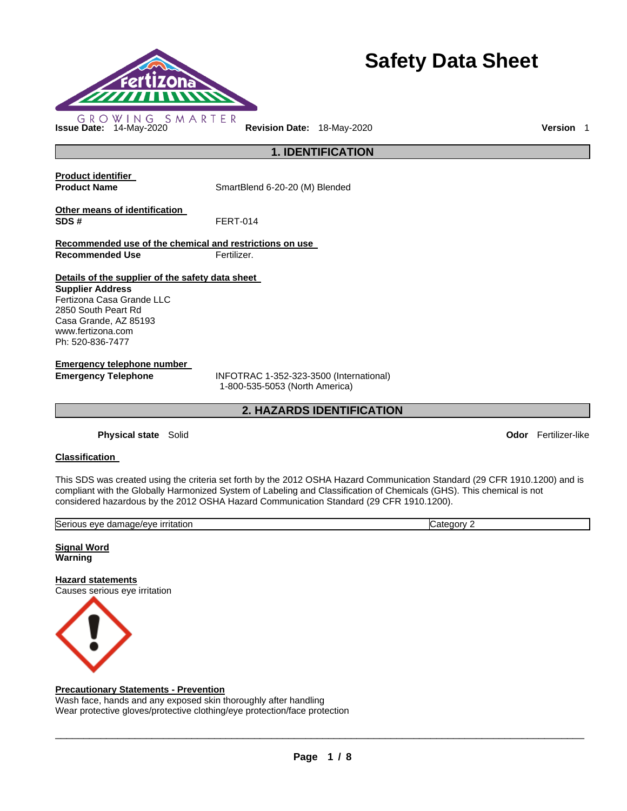

# **Safety Data Sheet**

**Issue Date:** 14-May-2020 **Revision Date:** 18-May-2020 **Version** 1

**1. IDENTIFICATION** 

**Product identifier** 

**Product Name SmartBlend 6-20-20 (M) Blended** 

**Other means of identification SDS #** FERT-014

**Recommended use of the chemical and restrictions on use Recommended Use Fertilizer.** 

# **Details of the supplier of the safety data sheet**

**Supplier Address** Fertizona Casa Grande LLC 2850 South Peart Rd Casa Grande, AZ 85193 www.fertizona.com Ph: 520-836-7477

**Emergency telephone number** 

**Emergency Telephone** INFOTRAC 1-352-323-3500 (International) 1-800-535-5053 (North America)

**2. HAZARDS IDENTIFICATION** 

**Physical state** Solid **Odor** Fertilizer-like

# **Classification**

This SDS was created using the criteria set forth by the 2012 OSHA Hazard Communication Standard (29 CFR 1910.1200) and is compliant with the Globally Harmonized System of Labeling and Classification of Chemicals (GHS). This chemical is not considered hazardous by the 2012 OSHA Hazard Communication Standard (29 CFR 1910.1200).

| <b>Irritation</b><br>iade/eve<br>seric<br>או ור<br>ع، ۱۵<br>. gam | ∽<br>.atr<br>euor∿ |
|-------------------------------------------------------------------|--------------------|
| .<br>. .                                                          |                    |
|                                                                   |                    |

**Signal Word Warning** 

**Hazard statements** Causes serious eye irritation



# **Precautionary Statements - Prevention**

Wash face, hands and any exposed skin thoroughly after handling Wear protective gloves/protective clothing/eye protection/face protection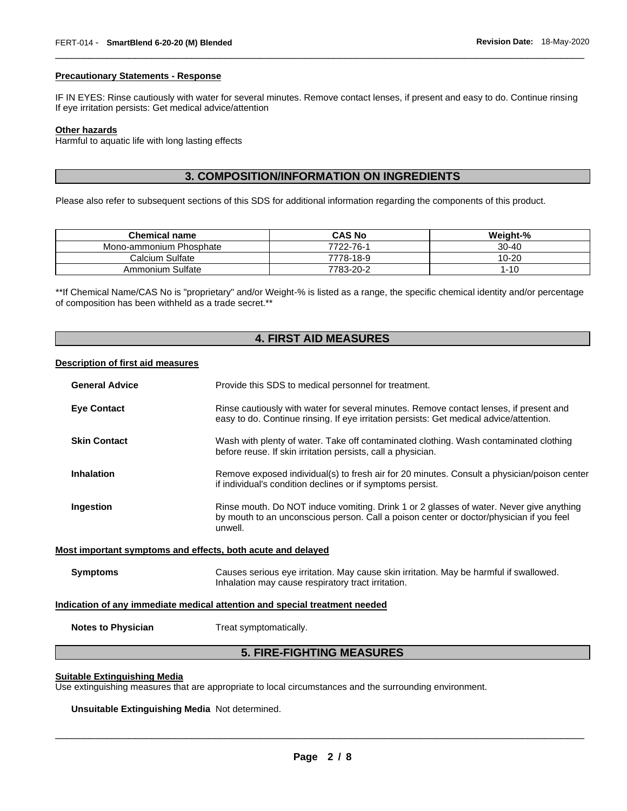#### **Precautionary Statements - Response**

IF IN EYES: Rinse cautiously with water for several minutes. Remove contact lenses, if present and easy to do. Continue rinsing If eye irritation persists: Get medical advice/attention

\_\_\_\_\_\_\_\_\_\_\_\_\_\_\_\_\_\_\_\_\_\_\_\_\_\_\_\_\_\_\_\_\_\_\_\_\_\_\_\_\_\_\_\_\_\_\_\_\_\_\_\_\_\_\_\_\_\_\_\_\_\_\_\_\_\_\_\_\_\_\_\_\_\_\_\_\_\_\_\_\_\_\_\_\_\_\_\_\_\_\_\_\_

# **Other hazards**

Harmful to aquatic life with long lasting effects

# **3. COMPOSITION/INFORMATION ON INGREDIENTS**

Please also refer to subsequent sections of this SDS for additional information regarding the components of this product.

| <b>Chemical name</b>    | <b>CAS No</b> | Weight-%  |
|-------------------------|---------------|-----------|
| Mono-ammonium Phosphate | 7722-76-1     | $30 - 40$ |
| Calcium Sulfate         | 7778-18-9     | 10-20     |
| Ammonium Sulfate        | 7783-20-2     | 1-10      |

\*\*If Chemical Name/CAS No is "proprietary" and/or Weight-% is listed as a range, the specific chemical identity and/or percentage of composition has been withheld as a trade secret.\*\*

# **4. FIRST AID MEASURES**

#### **Description of first aid measures**

| <b>General Advice</b>                                                      | Provide this SDS to medical personnel for treatment.                                                                                                                                          |  |
|----------------------------------------------------------------------------|-----------------------------------------------------------------------------------------------------------------------------------------------------------------------------------------------|--|
| <b>Eye Contact</b>                                                         | Rinse cautiously with water for several minutes. Remove contact lenses, if present and<br>easy to do. Continue rinsing. If eye irritation persists: Get medical advice/attention.             |  |
| <b>Skin Contact</b>                                                        | Wash with plenty of water. Take off contaminated clothing. Wash contaminated clothing<br>before reuse. If skin irritation persists, call a physician.                                         |  |
| <b>Inhalation</b>                                                          | Remove exposed individual(s) to fresh air for 20 minutes. Consult a physician/poison center<br>if individual's condition declines or if symptoms persist.                                     |  |
| Ingestion                                                                  | Rinse mouth. Do NOT induce vomiting. Drink 1 or 2 glasses of water. Never give anything<br>by mouth to an unconscious person. Call a poison center or doctor/physician if you feel<br>unwell. |  |
| Most important symptoms and effects, both acute and delayed                |                                                                                                                                                                                               |  |
| <b>Symptoms</b>                                                            | Causes serious eye irritation. May cause skin irritation. May be harmful if swallowed.<br>Inhalation may cause respiratory tract irritation.                                                  |  |
| Indication of any immediate medical attention and special treatment needed |                                                                                                                                                                                               |  |
| <b>Notes to Physician</b>                                                  | Treat symptomatically.                                                                                                                                                                        |  |
|                                                                            | - ---- --------- ---- -----                                                                                                                                                                   |  |

# **5. FIRE-FIGHTING MEASURES**

# **Suitable Extinguishing Media**

Use extinguishing measures that are appropriate to local circumstances and the surrounding environment.

**Unsuitable Extinguishing Media** Not determined.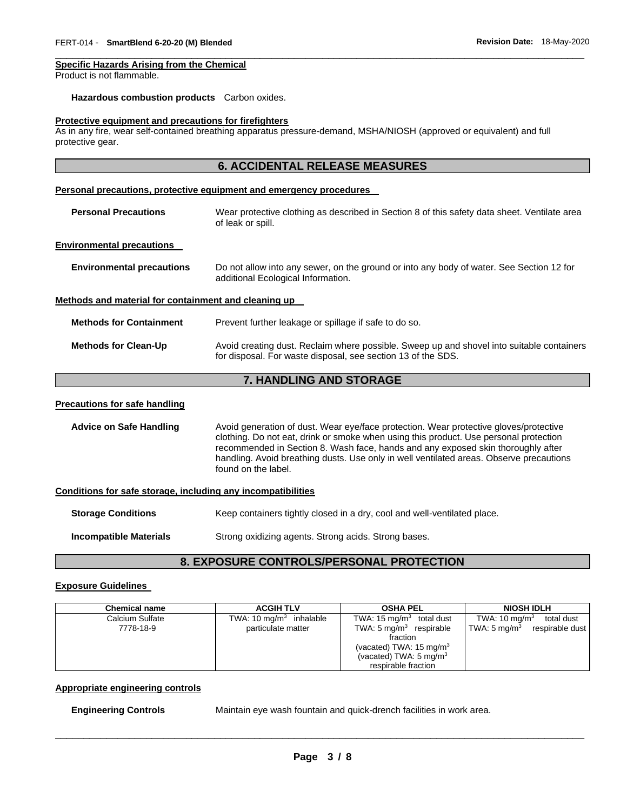# **Specific Hazards Arising from the Chemical**

Product is not flammable.

#### **Hazardous combustion products** Carbon oxides.

#### **Protective equipment and precautions for firefighters**

As in any fire, wear self-contained breathing apparatus pressure-demand, MSHA/NIOSH (approved or equivalent) and full protective gear.

\_\_\_\_\_\_\_\_\_\_\_\_\_\_\_\_\_\_\_\_\_\_\_\_\_\_\_\_\_\_\_\_\_\_\_\_\_\_\_\_\_\_\_\_\_\_\_\_\_\_\_\_\_\_\_\_\_\_\_\_\_\_\_\_\_\_\_\_\_\_\_\_\_\_\_\_\_\_\_\_\_\_\_\_\_\_\_\_\_\_\_\_\_

|                                                              | <b>6. ACCIDENTAL RELEASE MEASURES</b>                                                                                                                                                                                                                                                                                                                                                |
|--------------------------------------------------------------|--------------------------------------------------------------------------------------------------------------------------------------------------------------------------------------------------------------------------------------------------------------------------------------------------------------------------------------------------------------------------------------|
|                                                              | Personal precautions, protective equipment and emergency procedures                                                                                                                                                                                                                                                                                                                  |
| <b>Personal Precautions</b>                                  | Wear protective clothing as described in Section 8 of this safety data sheet. Ventilate area<br>of leak or spill.                                                                                                                                                                                                                                                                    |
| <b>Environmental precautions</b>                             |                                                                                                                                                                                                                                                                                                                                                                                      |
| <b>Environmental precautions</b>                             | Do not allow into any sewer, on the ground or into any body of water. See Section 12 for<br>additional Ecological Information.                                                                                                                                                                                                                                                       |
| Methods and material for containment and cleaning up         |                                                                                                                                                                                                                                                                                                                                                                                      |
| <b>Methods for Containment</b>                               | Prevent further leakage or spillage if safe to do so.                                                                                                                                                                                                                                                                                                                                |
| <b>Methods for Clean-Up</b>                                  | Avoid creating dust. Reclaim where possible. Sweep up and shovel into suitable containers<br>for disposal. For waste disposal, see section 13 of the SDS.                                                                                                                                                                                                                            |
|                                                              | 7. HANDLING AND STORAGE                                                                                                                                                                                                                                                                                                                                                              |
| <b>Precautions for safe handling</b>                         |                                                                                                                                                                                                                                                                                                                                                                                      |
| <b>Advice on Safe Handling</b>                               | Avoid generation of dust. Wear eye/face protection. Wear protective gloves/protective<br>clothing. Do not eat, drink or smoke when using this product. Use personal protection<br>recommended in Section 8. Wash face, hands and any exposed skin thoroughly after<br>handling. Avoid breathing dusts. Use only in well ventilated areas. Observe precautions<br>found on the label. |
| Conditions for safe storage, including any incompatibilities |                                                                                                                                                                                                                                                                                                                                                                                      |
| <b>Storage Conditions</b>                                    | Keep containers tightly closed in a dry, cool and well-ventilated place.                                                                                                                                                                                                                                                                                                             |

**Incompatible Materials Strong oxidizing agents. Strong acids. Strong bases.** 

# **8. EXPOSURE CONTROLS/PERSONAL PROTECTION**

# **Exposure Guidelines**

| <b>Chemical name</b>         | <b>ACGIH TLV</b>                                | <b>OSHA PEL</b>                                                                                                                                                     | <b>NIOSH IDLH</b>                                                                 |
|------------------------------|-------------------------------------------------|---------------------------------------------------------------------------------------------------------------------------------------------------------------------|-----------------------------------------------------------------------------------|
| Calcium Sulfate<br>7778-18-9 | TWA: 10 $mg/m3$ inhalable<br>particulate matter | TWA: $15 \text{ mg/m}^3$<br>total dust<br>TWA: $5 \text{ mg/m}^3$ respirable<br>fraction<br>(vacated) TWA: $15 \text{ mg/m}^3$<br>(vacated) TWA: $5 \text{ mg/m}^3$ | TWA: $10 \text{ mg/m}^3$<br>total dust<br>TWA: $5 \text{ mg/m}^3$ respirable dust |
|                              |                                                 | respirable fraction                                                                                                                                                 |                                                                                   |

# **Appropriate engineering controls**

**Engineering Controls** Maintain eye wash fountain and quick-drench facilities in work area.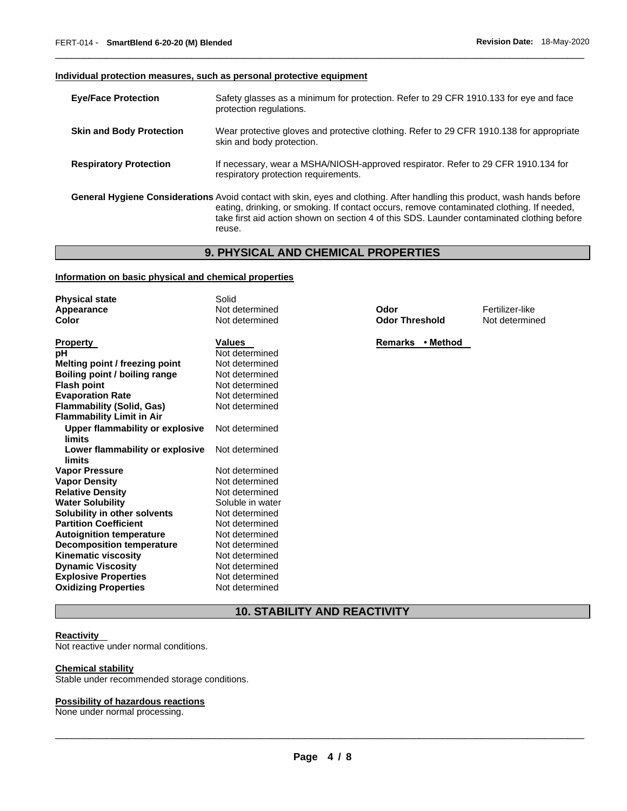# **Individual protection measures, such as personal protective equipment**

| <b>Eye/Face Protection</b>      | Safety glasses as a minimum for protection. Refer to 29 CFR 1910.133 for eye and face<br>protection regulations.                                                                                                                                                                                                               |
|---------------------------------|--------------------------------------------------------------------------------------------------------------------------------------------------------------------------------------------------------------------------------------------------------------------------------------------------------------------------------|
| <b>Skin and Body Protection</b> | Wear protective gloves and protective clothing. Refer to 29 CFR 1910.138 for appropriate<br>skin and body protection.                                                                                                                                                                                                          |
| <b>Respiratory Protection</b>   | If necessary, wear a MSHA/NIOSH-approved respirator. Refer to 29 CFR 1910.134 for<br>respiratory protection requirements.                                                                                                                                                                                                      |
|                                 | General Hygiene Considerations Avoid contact with skin, eyes and clothing. After handling this product, wash hands before<br>eating, drinking, or smoking. If contact occurs, remove contaminated clothing. If needed,<br>take first aid action shown on section 4 of this SDS. Launder contaminated clothing before<br>reuse. |

\_\_\_\_\_\_\_\_\_\_\_\_\_\_\_\_\_\_\_\_\_\_\_\_\_\_\_\_\_\_\_\_\_\_\_\_\_\_\_\_\_\_\_\_\_\_\_\_\_\_\_\_\_\_\_\_\_\_\_\_\_\_\_\_\_\_\_\_\_\_\_\_\_\_\_\_\_\_\_\_\_\_\_\_\_\_\_\_\_\_\_\_\_

# **9. PHYSICAL AND CHEMICAL PROPERTIES**

# **Information on basic physical and chemical properties**

| <b>Physical state</b>            | Solid            |                       |                 |
|----------------------------------|------------------|-----------------------|-----------------|
| Appearance                       | Not determined   | Odor                  | Fertilizer-like |
| Color                            | Not determined   | <b>Odor Threshold</b> | Not determined  |
| <b>Property</b>                  | <b>Values</b>    | Remarks • Method      |                 |
| рH                               | Not determined   |                       |                 |
| Melting point / freezing point   | Not determined   |                       |                 |
| Boiling point / boiling range    | Not determined   |                       |                 |
| <b>Flash point</b>               | Not determined   |                       |                 |
| <b>Evaporation Rate</b>          | Not determined   |                       |                 |
| <b>Flammability (Solid, Gas)</b> | Not determined   |                       |                 |
| <b>Flammability Limit in Air</b> |                  |                       |                 |
| Upper flammability or explosive  | Not determined   |                       |                 |
| limits                           |                  |                       |                 |
| Lower flammability or explosive  | Not determined   |                       |                 |
| limits                           |                  |                       |                 |
| <b>Vapor Pressure</b>            | Not determined   |                       |                 |
| <b>Vapor Density</b>             | Not determined   |                       |                 |
| <b>Relative Density</b>          | Not determined   |                       |                 |
| <b>Water Solubility</b>          | Soluble in water |                       |                 |
| Solubility in other solvents     | Not determined   |                       |                 |
| <b>Partition Coefficient</b>     | Not determined   |                       |                 |
| <b>Autoignition temperature</b>  | Not determined   |                       |                 |
| Decomposition temperature        | Not determined   |                       |                 |
| <b>Kinematic viscosity</b>       | Not determined   |                       |                 |
| <b>Dynamic Viscosity</b>         | Not determined   |                       |                 |
| <b>Explosive Properties</b>      | Not determined   |                       |                 |
| <b>Oxidizing Properties</b>      | Not determined   |                       |                 |

# **10. STABILITY AND REACTIVITY**

#### **Reactivity**

Not reactive under normal conditions.

#### **Chemical stability**

Stable under recommended storage conditions.

# **Possibility of hazardous reactions**

None under normal processing.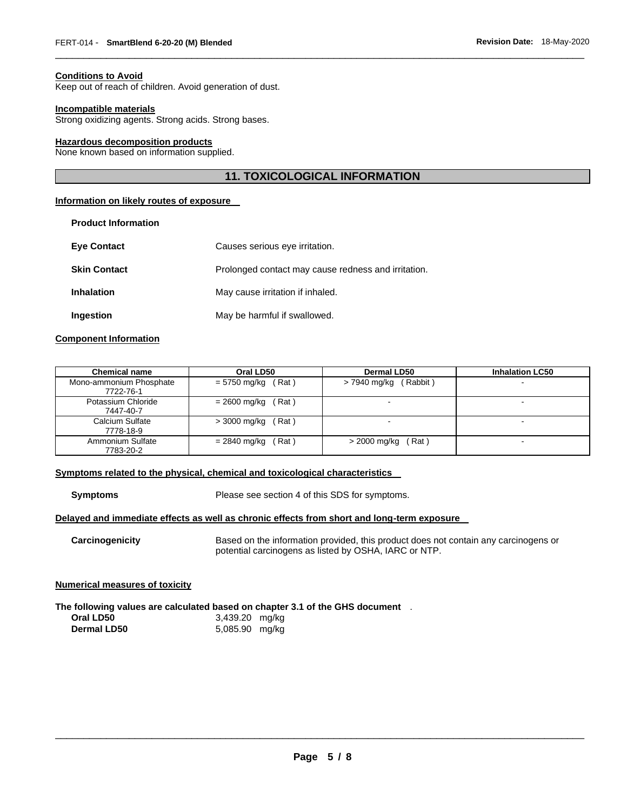#### **Conditions to Avoid**

Keep out of reach of children. Avoid generation of dust.

#### **Incompatible materials**

Strong oxidizing agents. Strong acids. Strong bases.

#### **Hazardous decomposition products**

None known based on information supplied.

# **11. TOXICOLOGICAL INFORMATION**

\_\_\_\_\_\_\_\_\_\_\_\_\_\_\_\_\_\_\_\_\_\_\_\_\_\_\_\_\_\_\_\_\_\_\_\_\_\_\_\_\_\_\_\_\_\_\_\_\_\_\_\_\_\_\_\_\_\_\_\_\_\_\_\_\_\_\_\_\_\_\_\_\_\_\_\_\_\_\_\_\_\_\_\_\_\_\_\_\_\_\_\_\_

#### **Information on likely routes of exposure**

| <b>Product Information</b> |                                                     |
|----------------------------|-----------------------------------------------------|
| <b>Eye Contact</b>         | Causes serious eye irritation.                      |
| <b>Skin Contact</b>        | Prolonged contact may cause redness and irritation. |
| <b>Inhalation</b>          | May cause irritation if inhaled.                    |
| Ingestion                  | May be harmful if swallowed.                        |

# **Component Information**

| <b>Chemical name</b>                 | Oral LD50                 | Dermal LD50              | <b>Inhalation LC50</b> |
|--------------------------------------|---------------------------|--------------------------|------------------------|
| Mono-ammonium Phosphate<br>7722-76-1 | $= 5750$ mg/kg (Rat)      | $> 7940$ mg/kg (Rabbit)  |                        |
| Potassium Chloride<br>7447-40-7      | $= 2600$ mg/kg (Rat)      |                          |                        |
| Calcium Sulfate<br>7778-18-9         | $>$ 3000 mg/kg (Rat)      | $\overline{\phantom{a}}$ |                        |
| Ammonium Sulfate<br>7783-20-2        | (Rat)<br>$= 2840$ mg/kg ( | > 2000 mg/kg<br>(Rat)    | $\blacksquare$         |

#### **Symptoms related to the physical, chemical and toxicological characteristics**

**Symptoms** Please see section 4 of this SDS for symptoms.

# **Delayed and immediate effects as well as chronic effects from short and long-term exposure**

**Carcinogenicity** Based on the information provided, this product does not contain any carcinogens or potential carcinogens as listed by OSHA, IARC or NTP.

#### **Numerical measures of toxicity**

**The following values are calculated based on chapter 3.1 of the GHS document** . **Oral LD50** 3,439.20 mg/kg **Dermal LD50** 5,085.90 mg/kg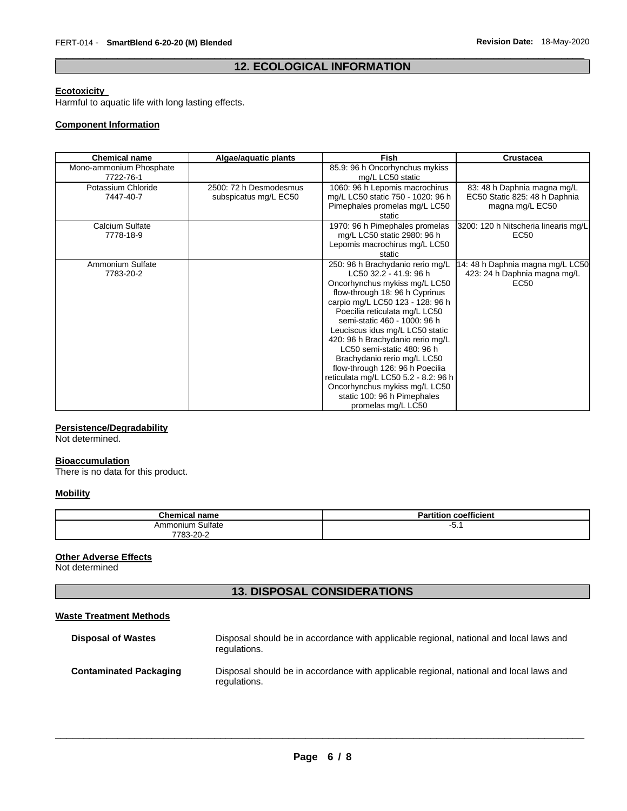# \_\_\_\_\_\_\_\_\_\_\_\_\_\_\_\_\_\_\_\_\_\_\_\_\_\_\_\_\_\_\_\_\_\_\_\_\_\_\_\_\_\_\_\_\_\_\_\_\_\_\_\_\_\_\_\_\_\_\_\_\_\_\_\_\_\_\_\_\_\_\_\_\_\_\_\_\_\_\_\_\_\_\_\_\_\_\_\_\_\_\_\_\_ **12. ECOLOGICAL INFORMATION**

#### **Ecotoxicity**

Harmful to aquatic life with long lasting effects.

# **Component Information**

| <b>Chemical name</b>                 | Algae/aquatic plants                            | <b>Fish</b>                                                                                                                                                                                                                                                                                                                                                                                                                                                                                                                             | <b>Crustacea</b>                                                                     |
|--------------------------------------|-------------------------------------------------|-----------------------------------------------------------------------------------------------------------------------------------------------------------------------------------------------------------------------------------------------------------------------------------------------------------------------------------------------------------------------------------------------------------------------------------------------------------------------------------------------------------------------------------------|--------------------------------------------------------------------------------------|
| Mono-ammonium Phosphate<br>7722-76-1 |                                                 | 85.9: 96 h Oncorhynchus mykiss<br>mg/L LC50 static                                                                                                                                                                                                                                                                                                                                                                                                                                                                                      |                                                                                      |
| Potassium Chloride<br>7447-40-7      | 2500: 72 h Desmodesmus<br>subspicatus mg/L EC50 | 1060: 96 h Lepomis macrochirus<br>mg/L LC50 static 750 - 1020: 96 h<br>Pimephales promelas mg/L LC50<br>static                                                                                                                                                                                                                                                                                                                                                                                                                          | 83: 48 h Daphnia magna mg/L<br>EC50 Static 825: 48 h Daphnia<br>magna mg/L EC50      |
| Calcium Sulfate<br>7778-18-9         |                                                 | 1970: 96 h Pimephales promelas<br>mg/L LC50 static 2980: 96 h<br>Lepomis macrochirus mg/L LC50<br>static                                                                                                                                                                                                                                                                                                                                                                                                                                | 3200: 120 h Nitscheria linearis mg/L<br>EC50                                         |
| Ammonium Sulfate<br>7783-20-2        |                                                 | 250: 96 h Brachydanio rerio mg/L<br>LC50 32.2 - 41.9: 96 h<br>Oncorhynchus mykiss mg/L LC50<br>flow-through 18: 96 h Cyprinus<br>carpio mg/L LC50 123 - 128: 96 h<br>Poecilia reticulata mg/L LC50<br>semi-static 460 - 1000: 96 h<br>Leuciscus idus mg/L LC50 static<br>420: 96 h Brachydanio rerio mg/L<br>LC50 semi-static 480: 96 h<br>Brachydanio rerio mg/L LC50<br>flow-through 126: 96 h Poecilia<br>reticulata mg/L LC50 5.2 - 8.2: 96 h<br>Oncorhynchus mykiss mg/L LC50<br>static 100: 96 h Pimephales<br>promelas mg/L LC50 | 14: 48 h Daphnia magna mg/L LC50<br>423: 24 h Daphnia magna mg/L<br>EC <sub>50</sub> |

# **Persistence/Degradability**

Not determined.

# **Bioaccumulation**

There is no data for this product.

# **Mobility**

| <b>Chemical name</b> | $\overline{\phantom{a}}$<br><b>Partition coefficient</b> |
|----------------------|----------------------------------------------------------|
| Sulfate<br>Ammonium  | −∪.                                                      |
| 7783-20-2            |                                                          |

# **Other Adverse Effects**

Not determined

# **13. DISPOSAL CONSIDERATIONS**

#### **Waste Treatment Methods**

| <b>Disposal of Wastes</b>     | Disposal should be in accordance with applicable regional, national and local laws and<br>regulations. |
|-------------------------------|--------------------------------------------------------------------------------------------------------|
| <b>Contaminated Packaging</b> | Disposal should be in accordance with applicable regional, national and local laws and<br>regulations. |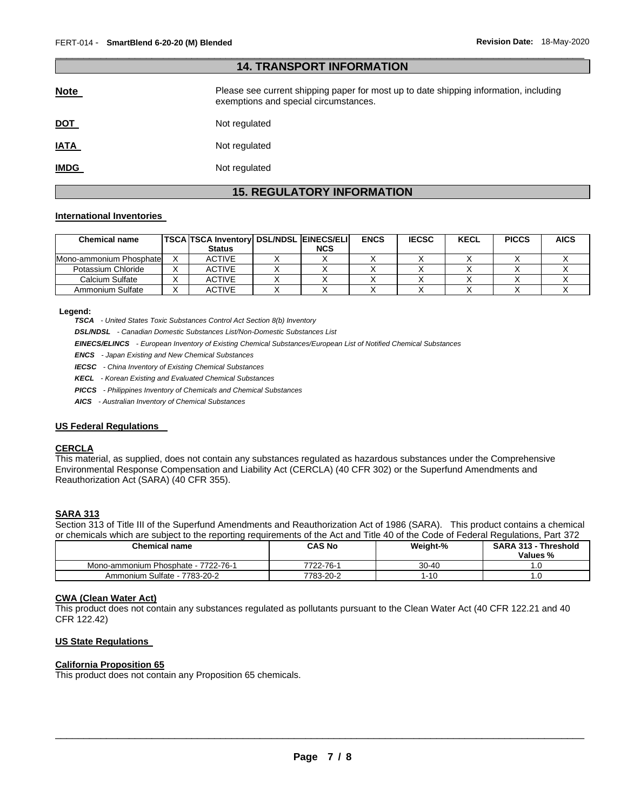| <b>14. TRANSPORT INFORMATION</b> |                                                                                                                                |  |  |  |
|----------------------------------|--------------------------------------------------------------------------------------------------------------------------------|--|--|--|
| <b>Note</b>                      | Please see current shipping paper for most up to date shipping information, including<br>exemptions and special circumstances. |  |  |  |
| <u>DOT</u>                       | Not regulated                                                                                                                  |  |  |  |
| <b>IATA</b>                      | Not regulated                                                                                                                  |  |  |  |
| <b>IMDG</b>                      | Not regulated                                                                                                                  |  |  |  |

\_\_\_\_\_\_\_\_\_\_\_\_\_\_\_\_\_\_\_\_\_\_\_\_\_\_\_\_\_\_\_\_\_\_\_\_\_\_\_\_\_\_\_\_\_\_\_\_\_\_\_\_\_\_\_\_\_\_\_\_\_\_\_\_\_\_\_\_\_\_\_\_\_\_\_\_\_\_\_\_\_\_\_\_\_\_\_\_\_\_\_\_\_

# **15. REGULATORY INFORMATION**

#### **International Inventories**

| <b>Chemical name</b>     | TSCA TSCA Inventory DSL/NDSL EINECS/ELI |            | <b>ENCS</b> | <b>IECSC</b> | <b>KECL</b> | <b>PICCS</b> | <b>AICS</b> |
|--------------------------|-----------------------------------------|------------|-------------|--------------|-------------|--------------|-------------|
|                          | <b>Status</b>                           | <b>NCS</b> |             |              |             |              |             |
| Mono-ammonium Phosphatel | <b>ACTIVE</b>                           |            |             |              |             |              |             |
| Potassium Chloride       | <b>ACTIVE</b>                           |            |             |              |             |              |             |
| Calcium Sulfate          | <b>ACTIVE</b>                           |            |             |              |             |              |             |
| Ammonium Sulfate         | <b>ACTIVE</b>                           |            |             |              |             |              |             |

**Legend:** 

*TSCA - United States Toxic Substances Control Act Section 8(b) Inventory* 

*DSL/NDSL - Canadian Domestic Substances List/Non-Domestic Substances List* 

*EINECS/ELINCS - European Inventory of Existing Chemical Substances/European List of Notified Chemical Substances* 

*ENCS - Japan Existing and New Chemical Substances* 

*IECSC - China Inventory of Existing Chemical Substances* 

*KECL - Korean Existing and Evaluated Chemical Substances* 

*PICCS - Philippines Inventory of Chemicals and Chemical Substances* 

*AICS - Australian Inventory of Chemical Substances* 

#### **US Federal Regulations**

#### **CERCLA**

This material, as supplied, does not contain any substances regulated as hazardous substances under the Comprehensive Environmental Response Compensation and Liability Act (CERCLA) (40 CFR 302) or the Superfund Amendments and Reauthorization Act (SARA) (40 CFR 355).

# **SARA 313**

Section 313 of Title III of the Superfund Amendments and Reauthorization Act of 1986 (SARA). This product contains a chemical or chemicals which are subject to the reporting requirements of the Act and Title 40 of the Code of Federal Regulations, Part 372

| <b>Chemical name</b>                | CAS No    | Weight-%  | <b>SARA 313 - Threshold</b><br>Values % |
|-------------------------------------|-----------|-----------|-----------------------------------------|
| Mono-ammonium Phosphate - 7722-76-1 | 7722-76-1 | $30 - 40$ |                                         |
| Ammonium Sulfate - 7783-20-2        | 7783-20-2 | -10       |                                         |

#### **CWA (Clean Water Act)**

This product does not contain any substances regulated as pollutants pursuant to the Clean Water Act (40 CFR 122.21 and 40 CFR 122.42)

# **US State Regulations**

# **California Proposition 65**

This product does not contain any Proposition 65 chemicals.